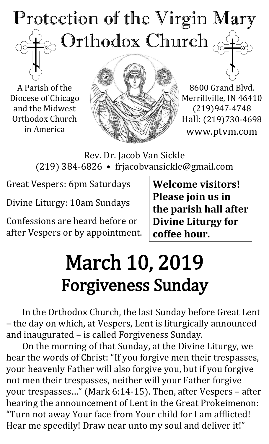## Protection of the Virgin Mary Orthodox Church  $\overline{IC}$

A Parish of the Diocese of Chicago and the Midwest Orthodox Church in America



8600 Grand Blvd. Merrillville, IN 46410 (219)947-4748 Hall: (219)730-4698 www.ptvm.com

Rev. Dr. Jacob Van Sickle (219) 384-6826 • frjacobvansickle@gmail.com

Great Vespers: 6pm Saturdays

Divine Liturgy: 10am Sundays

Confessions are heard before or after Vespers or by appointment. **Welcome visitors! Please join us in the parish hall after Divine Liturgy for coffee hour.**

# March 10, 2019 Forgiveness Sunday

In the Orthodox Church, the last Sunday before Great Lent – the day on which, at Vespers, Lent is liturgically announced and inaugurated – is called Forgiveness Sunday.

On the morning of that Sunday, at the Divine Liturgy, we hear the words of Christ: "If you forgive men their trespasses, your heavenly Father will also forgive you, but if you forgive not men their trespasses, neither will your Father forgive your trespasses…" (Mark 6:14-15). Then, after Vespers – after hearing the announcement of Lent in the Great Prokeimenon: "Turn not away Your face from Your child for I am afflicted! Hear me speedily! Draw near unto my soul and deliver it!"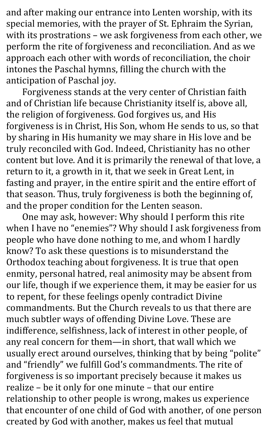and after making our entrance into Lenten worship, with its special memories, with the prayer of St. Ephraim the Syrian, with its prostrations – we ask forgiveness from each other, we perform the rite of forgiveness and reconciliation. And as we approach each other with words of reconciliation, the choir intones the Paschal hymns, filling the church with the anticipation of Paschal joy.

Forgiveness stands at the very center of Christian faith and of Christian life because Christianity itself is, above all, the religion of forgiveness. God forgives us, and His forgiveness is in Christ, His Son, whom He sends to us, so that by sharing in His humanity we may share in His love and be truly reconciled with God. Indeed, Christianity has no other content but love. And it is primarily the renewal of that love, a return to it, a growth in it, that we seek in Great Lent, in fasting and prayer, in the entire spirit and the entire effort of that season. Thus, truly forgiveness is both the beginning of, and the proper condition for the Lenten season.

One may ask, however: Why should I perform this rite when I have no "enemies"? Why should I ask forgiveness from people who have done nothing to me, and whom I hardly know? To ask these questions is to misunderstand the Orthodox teaching about forgiveness. It is true that open enmity, personal hatred, real animosity may be absent from our life, though if we experience them, it may be easier for us to repent, for these feelings openly contradict Divine commandments. But the Church reveals to us that there are much subtler ways of offending Divine Love. These are indifference, selfishness, lack of interest in other people, of any real concern for them—in short, that wall which we usually erect around ourselves, thinking that by being "polite" and "friendly" we fulfill God's commandments. The rite of forgiveness is so important precisely because it makes us realize – be it only for one minute – that our entire relationship to other people is wrong, makes us experience that encounter of one child of God with another, of one person created by God with another, makes us feel that mutual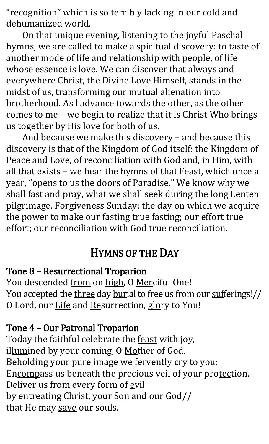"recognition" which is so terribly lacking in our cold and dehumanized world.

On that unique evening, listening to the joyful Paschal hymns, we are called to make a spiritual discovery: to taste of another mode of life and relationship with people, of life whose essence is love. We can discover that always and everywhere Christ, the Divine Love Himself, stands in the midst of us, transforming our mutual alienation into brotherhood. As l advance towards the other, as the other comes to me – we begin to realize that it is Christ Who brings us together by His love for both of us.

And because we make this discovery – and because this discovery is that of the Kingdom of God itself: the Kingdom of Peace and Love, of reconciliation with God and, in Him, with all that exists – we hear the hymns of that Feast, which once a year, "opens to us the doors of Paradise." We know why we shall fast and pray, what we shall seek during the long Lenten pilgrimage. Forgiveness Sunday: the day on which we acquire the power to make our fasting true fasting; our effort true effort; our reconciliation with God true reconciliation.

## HYMNS OF THE DAY

#### Tone 8 – Resurrectional Troparion

You descended from on high, O Merciful One! You accepted the three day burial to free us from our sufferings!// O Lord, our Life and Resurrection, glory to You!

#### Tone 4 – Our Patronal Troparion

Today the faithful celebrate the **feast** with joy, illumined by your coming, O Mother of God. Beholding your pure image we fervently cry to you: Encompass us beneath the precious veil of your protection. Deliver us from every form of evil by entreating Christ, your Son and our God// that He may save our souls.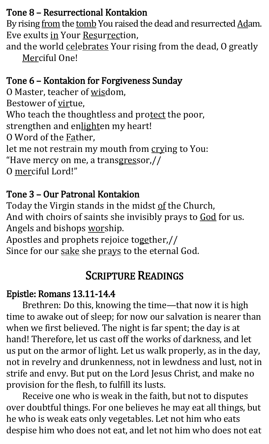#### Tone 8 – Resurrectional Kontakion

By rising from the tomb You raised the dead and resurrected Adam. Eve exults in Your Resurrection,

and the world celebrates Your rising from the dead, O greatly Merciful One!

## Tone 6 – Kontakion for Forgiveness Sunday

O Master, teacher of wisdom, Bestower of virtue, Who teach the thoughtless and protect the poor, strengthen and enlighten my heart! O Word of the Father, let me not restrain my mouth from crying to You: "Have mercy on me, a transgressor,// O merciful Lord!"

## Tone 3 – Our Patronal Kontakion

Today the Virgin stands in the midst of the Church, And with choirs of saints she invisibly prays to God for us. Angels and bishops worship.

Apostles and prophets rejoice together,// Since for our sake she prays to the eternal God.

## SCRIPTURE READINGS

#### Epistle: Romans 13.11-14.4

Brethren: Do this, knowing the time—that now it is high time to awake out of sleep; for now our salvation is nearer than when we first believed. The night is far spent; the day is at hand! Therefore, let us cast off the works of darkness, and let us put on the armor of light. Let us walk properly, as in the day, not in revelry and drunkenness, not in lewdness and lust, not in strife and envy. But put on the Lord Jesus Christ, and make no provision for the flesh, to fulfill its lusts.

Receive one who is weak in the faith, but not to disputes over doubtful things. For one believes he may eat all things, but he who is weak eats only vegetables. Let not him who eats despise him who does not eat, and let not him who does not eat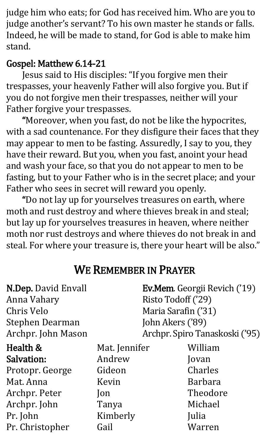judge him who eats; for God has received him. Who are you to judge another's servant? To his own master he stands or falls. Indeed, he will be made to stand, for God is able to make him stand.

## Gospel: Matthew 6.14-21

Jesus said to His disciples: "If you forgive men their trespasses, your heavenly Father will also forgive you. But if you do not forgive men their trespasses, neither will your Father forgive your trespasses.

"Moreover, when you fast, do not be like the hypocrites, with a sad countenance. For they disfigure their faces that they may appear to men to be fasting. Assuredly, I say to you, they have their reward. But you, when you fast, anoint your head and wash your face, so that you do not appear to men to be fasting, but to your Father who is in the secret place; and your Father who sees in secret will reward you openly.

"Do not lay up for yourselves treasures on earth, where moth and rust destroy and where thieves break in and steal; but lay up for yourselves treasures in heaven, where neither moth nor rust destroys and where thieves do not break in and steal. For where your treasure is, there your heart will be also."

## WE REMEMBER IN PRAYER

| <b>N.Dep. David Envall</b><br>Anna Vahary<br>Chris Velo<br><b>Stephen Dearman</b> | <b>Ev.Mem.</b> Georgii Revich ('19)<br>Risto Todoff ('29)<br>Maria Sarafin ('31)<br>John Akers ('89) |                |  |
|-----------------------------------------------------------------------------------|------------------------------------------------------------------------------------------------------|----------------|--|
| Archpr. John Mason                                                                | Archpr. Spiro Tanaskoski ('95)                                                                       |                |  |
| Health &                                                                          | Mat. Jennifer                                                                                        | William        |  |
| Salvation:                                                                        | Andrew                                                                                               | Jovan          |  |
| Protopr. George                                                                   | Gideon                                                                                               | Charles        |  |
| Mat. Anna                                                                         | Kevin                                                                                                | <b>Barbara</b> |  |
| Archpr. Peter                                                                     | $\mathsf{lon}$                                                                                       | Theodore       |  |
| Archpr. John                                                                      | Tanya                                                                                                | Michael        |  |
| Pr. John                                                                          | Kimberly                                                                                             | Julia          |  |
| Pr. Christopher                                                                   | Gail                                                                                                 | Warren         |  |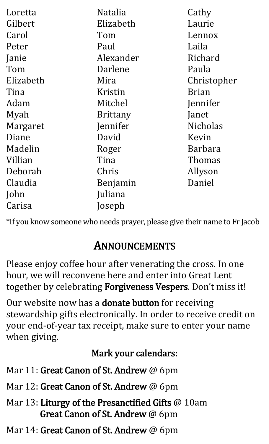| Loretta   | <b>Natalia</b>  | Cathy           |
|-----------|-----------------|-----------------|
| Gilbert   | Elizabeth       | Laurie          |
| Carol     | Tom             | Lennox          |
| Peter     | Paul            | Laila           |
| Janie     | Alexander       | Richard         |
| Tom       | Darlene         | Paula           |
| Elizabeth | Mira            | Christopher     |
| Tina      | Kristin         | <b>Brian</b>    |
| Adam      | Mitchel         | Jennifer        |
| Myah      | <b>Brittany</b> | Janet           |
| Margaret  | Jennifer        | <b>Nicholas</b> |
| Diane     | David           | Kevin           |
| Madelin   | Roger           | Barbara         |
| Villian   | Tina            | Thomas          |
| Deborah   | Chris           | Allyson         |
| Claudia   | Benjamin        | Daniel          |
| John      | Juliana         |                 |
| Carisa    | Joseph          |                 |

\*If you know someone who needs prayer, please give their name to Fr Jacob

## ANNOUNCEMENTS

Please enjoy coffee hour after venerating the cross. In one hour, we will reconvene here and enter into Great Lent together by celebrating Forgiveness Vespers. Don't miss it!

Our website now has a **donate button** for receiving stewardship gifts electronically. In order to receive credit on your end-of-year tax receipt, make sure to enter your name when giving.

## Mark your calendars:

- Mar 11: Great Canon of St. Andrew @ 6pm
- Mar 12: Great Canon of St. Andrew @ 6pm
- Mar 13: Liturgy of the Presanctified Gifts @ 10am Great Canon of St. Andrew @ 6pm
- Mar 14: Great Canon of St. Andrew @ 6pm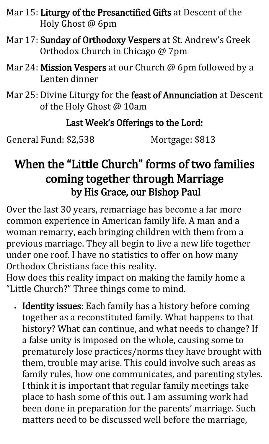- Mar 15: Liturgy of the Presanctified Gifts at Descent of the Holy Ghost @ 6pm
- Mar 17: Sunday of Orthodoxy Vespers at St. Andrew's Greek Orthodox Church in Chicago @ 7pm
- Mar 24: Mission Vespers at our Church @ 6pm followed by a Lenten dinner
- Mar 25: Divine Liturgy for the feast of Annunciation at Descent of the Holy Ghost @ 10am

#### Last Week's Offerings to the Lord:

General Fund: \$2,538 Mortgage: \$813

## When the "Little Church" forms of two families coming together through Marriage by His Grace, our Bishop Paul

Over the last 30 years, remarriage has become a far more common experience in American family life. A man and a woman remarry, each bringing children with them from a previous marriage. They all begin to live a new life together under one roof. I have no statistics to offer on how many Orthodox Christians face this reality.

How does this reality impact on making the family home a "Little Church?" Three things come to mind.

• Identity issues: Each family has a history before coming together as a reconstituted family. What happens to that history? What can continue, and what needs to change? If a false unity is imposed on the whole, causing some to prematurely lose practices/norms they have brought with them, trouble may arise. This could involve such areas as family rules, how one communicates, and parenting styles. I think it is important that regular family meetings take place to hash some of this out. I am assuming work had been done in preparation for the parents' marriage. Such matters need to be discussed well before the marriage,